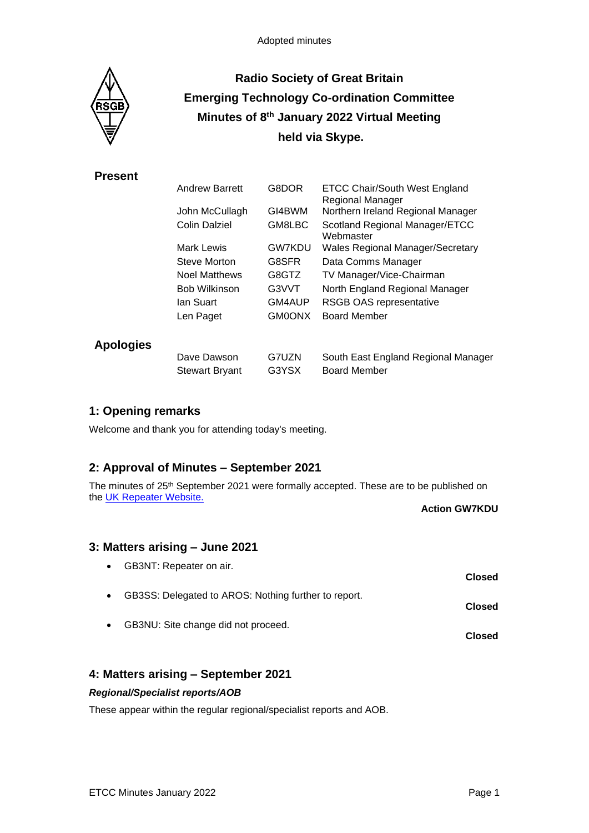

# **Radio Society of Great Britain Emerging Technology Co-ordination Committee Minutes of 8 th January 2022 Virtual Meeting held via Skype.**

# **Present**

|                  | <b>Andrew Barrett</b> | G8DOR         | <b>ETCC Chair/South West England</b><br>Regional Manager |
|------------------|-----------------------|---------------|----------------------------------------------------------|
|                  | John McCullagh        | GI4BWM        | Northern Ireland Regional Manager                        |
|                  | Colin Dalziel         | GM8LBC        | Scotland Regional Manager/ETCC<br>Webmaster              |
|                  | Mark Lewis            | <b>GW7KDU</b> | <b>Wales Regional Manager/Secretary</b>                  |
|                  | Steve Morton          | G8SFR         | Data Comms Manager                                       |
|                  | <b>Noel Matthews</b>  | G8GTZ         | TV Manager/Vice-Chairman                                 |
|                  | <b>Bob Wilkinson</b>  | G3VVT         | North England Regional Manager                           |
|                  | lan Suart             | GM4AUP        | <b>RSGB OAS representative</b>                           |
|                  | Len Paget             | GM0ONX        | <b>Board Member</b>                                      |
| <b>Apologies</b> |                       |               |                                                          |
|                  | Dave Dawson           | G7UZN         | South East England Regional Manager                      |
|                  | <b>Stewart Bryant</b> | G3YSX         | <b>Board Member</b>                                      |

# **1: Opening remarks**

Welcome and thank you for attending today's meeting.

# **2: Approval of Minutes – September 2021**

The minutes of 25<sup>th</sup> September 2021 were formally accepted. These are to be published on the [UK Repeater Website.](https://www.ukrepeater.net/minutes.html)

**Action GW7KDU**

# **3: Matters arising – June 2021**

| $\bullet$ | GB3NT: Repeater on air.                              | <b>Closed</b> |
|-----------|------------------------------------------------------|---------------|
| $\bullet$ | GB3SS: Delegated to AROS: Nothing further to report. | <b>Closed</b> |
| $\bullet$ | GB3NU: Site change did not proceed.                  | <b>Closed</b> |

# **4: Matters arising – September 2021**

### *Regional/Specialist reports/AOB*

These appear within the regular regional/specialist reports and AOB.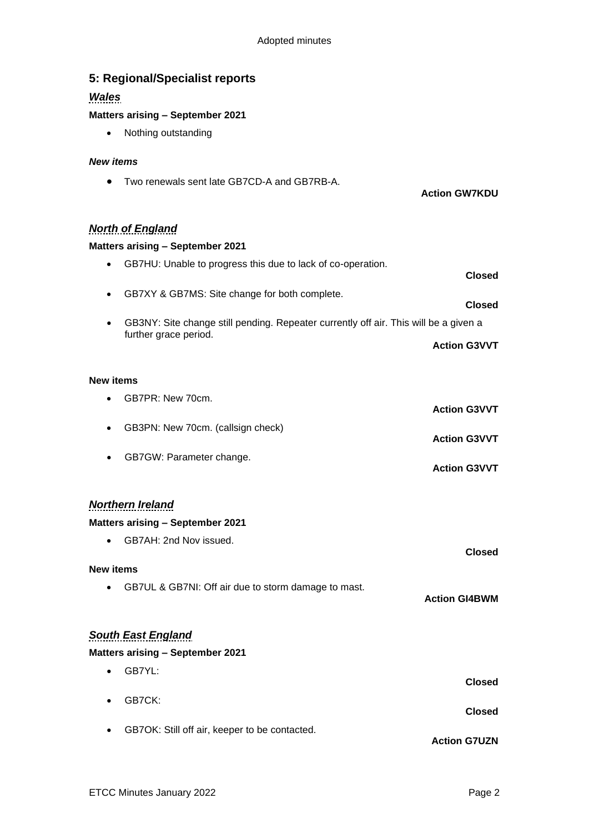| 5: Regional/Specialist reports<br><b>Wales</b>                                            |                      |
|-------------------------------------------------------------------------------------------|----------------------|
| <b>Matters arising - September 2021</b>                                                   |                      |
| Nothing outstanding<br>$\bullet$                                                          |                      |
| <b>New items</b>                                                                          |                      |
| Two renewals sent late GB7CD-A and GB7RB-A.                                               | <b>Action GW7KDU</b> |
| <b>North of England</b>                                                                   |                      |
| <b>Matters arising - September 2021</b>                                                   |                      |
| GB7HU: Unable to progress this due to lack of co-operation.<br>$\bullet$                  | <b>Closed</b>        |
| GB7XY & GB7MS: Site change for both complete.<br>٠                                        | <b>Closed</b>        |
| GB3NY: Site change still pending. Repeater currently off air. This will be a given a<br>٠ |                      |
| further grace period.                                                                     | <b>Action G3VVT</b>  |
|                                                                                           |                      |
| <b>New items</b>                                                                          |                      |
| GB7PR: New 70cm.                                                                          | <b>Action G3VVT</b>  |
| GB3PN: New 70cm. (callsign check)<br>٠                                                    | <b>Action G3VVT</b>  |
| GB7GW: Parameter change.<br>$\bullet$                                                     | <b>Action G3VVT</b>  |
| <b>Northern Ireland</b>                                                                   |                      |
| <b>Matters arising - September 2021</b>                                                   |                      |
| GB7AH: 2nd Nov issued.<br>$\bullet$                                                       | <b>Closed</b>        |
| <b>New items</b>                                                                          |                      |
| GB7UL & GB7NI: Off air due to storm damage to mast.<br>$\bullet$                          | <b>Action GI4BWM</b> |
| <b>South East England</b>                                                                 |                      |
| <b>Matters arising - September 2021</b>                                                   |                      |
| GB7YL:<br>$\bullet$                                                                       | <b>Closed</b>        |
| GB7CK:                                                                                    | <b>Closed</b>        |
| GB7OK: Still off air, keeper to be contacted.                                             | <b>Action G7UZN</b>  |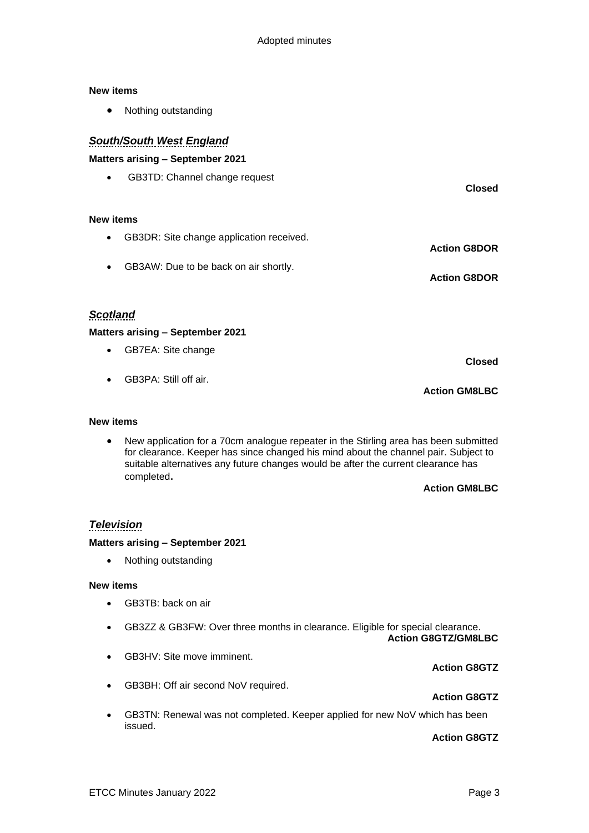#### **New items**

• Nothing outstanding

# *South/South West England*

### **Matters arising – September 2021**

• GB3TD: Channel change request

### **New items**

- GB3DR: Site change application received. **Action G8DOR**
- GB3AW: Due to be back on air shortly. **Action G8DOR**

### *Scotland*

### **Matters arising – September 2021**

- GB7EA: Site change
- GB3PA: Still off air.

#### **New items**

• New application for a 70cm analogue repeater in the Stirling area has been submitted for clearance. Keeper has since changed his mind about the channel pair. Subject to suitable alternatives any future changes would be after the current clearance has completed.

#### **Action GM8LBC**

**Action GM8LBC**

**Closed**

**Closed**

# *Television*

### **Matters arising – September 2021**

• Nothing outstanding

#### **New items**

- GB3TB: back on air
- GB3ZZ & GB3FW: Over three months in clearance. Eligible for special clearance.

**Action G8GTZ/GM8LBC**

- GB3HV: Site move imminent.
- GB3BH: Off air second NoV required.

### • GB3TN: Renewal was not completed. Keeper applied for new NoV which has been issued.

### **Action G8GTZ**

**Action G8GTZ**

**Action G8GTZ**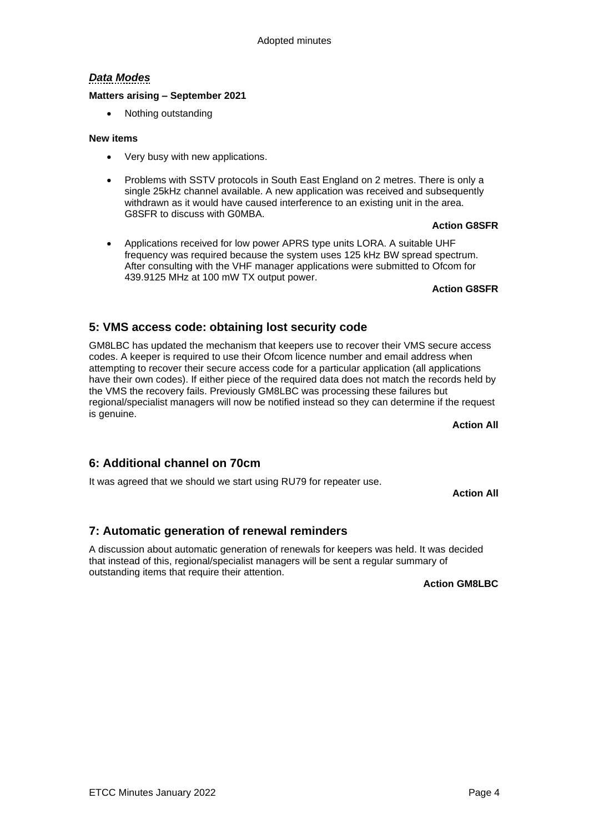# *Data Modes*

### **Matters arising – September 2021**

• Nothing outstanding

### **New items**

- Very busy with new applications.
- Problems with SSTV protocols in South East England on 2 metres. There is only a single 25kHz channel available. A new application was received and subsequently withdrawn as it would have caused interference to an existing unit in the area. G8SFR to discuss with G0MBA.

### **Action G8SFR**

• Applications received for low power APRS type units LORA. A suitable UHF frequency was required because the system uses 125 kHz BW spread spectrum. After consulting with the VHF manager applications were submitted to Ofcom for 439.9125 MHz at 100 mW TX output power.

**Action G8SFR**

# **5: VMS access code: obtaining lost security code**

GM8LBC has updated the mechanism that keepers use to recover their VMS secure access codes. A keeper is required to use their Ofcom licence number and email address when attempting to recover their secure access code for a particular application (all applications have their own codes). If either piece of the required data does not match the records held by the VMS the recovery fails. Previously GM8LBC was processing these failures but regional/specialist managers will now be notified instead so they can determine if the request is genuine.

**Action All**

# **6: Additional channel on 70cm**

It was agreed that we should we start using RU79 for repeater use.

**Action All**

# **7: Automatic generation of renewal reminders**

A discussion about automatic generation of renewals for keepers was held. It was decided that instead of this, regional/specialist managers will be sent a regular summary of outstanding items that require their attention.

**Action GM8LBC**